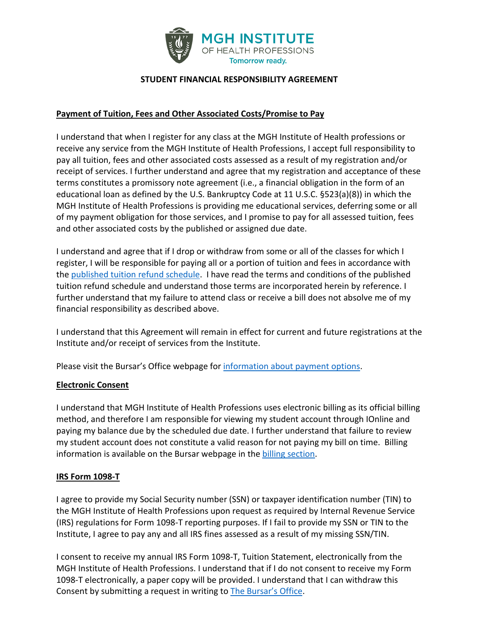

#### **STUDENT FINANCIAL RESPONSIBILITY AGREEMENT**

#### **Payment of Tuition, Fees and Other Associated Costs/Promise to Pay**

I understand that when I register for any class at the MGH Institute of Health professions or receive any service from the MGH Institute of Health Professions, I accept full responsibility to pay all tuition, fees and other associated costs assessed as a result of my registration and/or receipt of services. I further understand and agree that my registration and acceptance of these terms constitutes a promissory note agreement (i.e., a financial obligation in the form of an educational loan as defined by the U.S. Bankruptcy Code at 11 U.S.C. §523(a)(8)) in which the MGH Institute of Health Professions is providing me educational services, deferring some or all of my payment obligation for those services, and I promise to pay for all assessed tuition, fees and other associated costs by the published or assigned due date.

I understand and agree that if I drop or withdraw from some or all of the classes for which I register, I will be responsible for paying all or a portion of tuition and fees in accordance with the [published tuition refund schedule.](https://www.mghihp.edu/overview/bursar#refund) I have read the terms and conditions of the published tuition refund schedule and understand those terms are incorporated herein by reference. I further understand that my failure to attend class or receive a bill does not absolve me of my financial responsibility as described above.

I understand that this Agreement will remain in effect for current and future registrations at the Institute and/or receipt of services from the Institute.

Please visit the Bursar's Office webpage for [information about payment options.](https://www.mghihp.edu/overview/bursar#node-73331)

## **Electronic Consent**

I understand that MGH Institute of Health Professions uses electronic billing as its official billing method, and therefore I am responsible for viewing my student account through IOnline and paying my balance due by the scheduled due date. I further understand that failure to review my student account does not constitute a valid reason for not paying my bill on time. Billing information is available on the Bursar webpage in the [billing section.](https://www.mghihp.edu/overview/bursar#node-73316)

#### **IRS Form 1098-T**

I agree to provide my Social Security number (SSN) or taxpayer identification number (TIN) to the MGH Institute of Health Professions upon request as required by Internal Revenue Service (IRS) regulations for Form 1098-T reporting purposes. If I fail to provide my SSN or TIN to the Institute, I agree to pay any and all IRS fines assessed as a result of my missing SSN/TIN.

I consent to receive my annual IRS Form 1098-T, Tuition Statement, electronically from the MGH Institute of Health Professions. I understand that if I do not consent to receive my Form 1098-T electronically, a paper copy will be provided. I understand that I can withdraw this Consent by submitting a request in writing t[o The Bursar's Office.](mailto:bursar@mghihp.edu)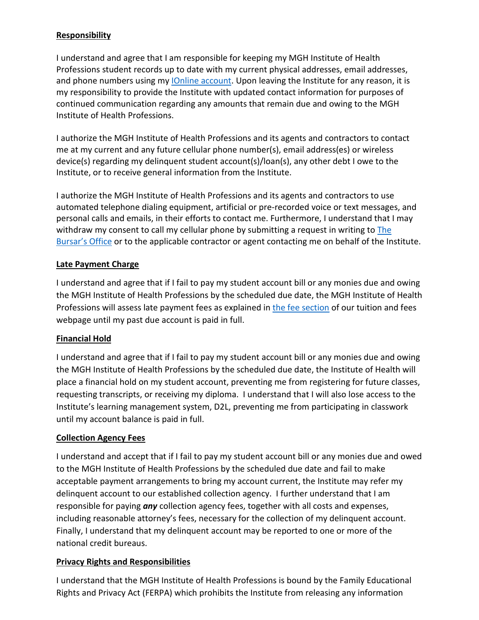#### **Responsibility**

I understand and agree that I am responsible for keeping my MGH Institute of Health Professions student records up to date with my current physical addresses, email addresses, and phone numbers using my *Online account*. Upon leaving the Institute for any reason, it is my responsibility to provide the Institute with updated contact information for purposes of continued communication regarding any amounts that remain due and owing to the MGH Institute of Health Professions.

I authorize the MGH Institute of Health Professions and its agents and contractors to contact me at my current and any future cellular phone number(s), email address(es) or wireless device(s) regarding my delinquent student account(s)/loan(s), any other debt I owe to the Institute, or to receive general information from the Institute.

I authorize the MGH Institute of Health Professions and its agents and contractors to use automated telephone dialing equipment, artificial or pre-recorded voice or text messages, and personal calls and emails, in their efforts to contact me. Furthermore, I understand that I may withdraw my consent to call my cellular phone by submitting a request in writing to The [Bursar's Office](mailto:bursar@mghihp.edu) or to the applicable contractor or agent contacting me on behalf of the Institute.

## **Late Payment Charge**

I understand and agree that if I fail to pay my student account bill or any monies due and owing the MGH Institute of Health Professions by the scheduled due date, the MGH Institute of Health Professions will assess late payment fees as explained in [the fee section](https://www.mghihp.edu/fee-schedule) of our tuition and fees webpage until my past due account is paid in full.

## **Financial Hold**

I understand and agree that if I fail to pay my student account bill or any monies due and owing the MGH Institute of Health Professions by the scheduled due date, the Institute of Health will place a financial hold on my student account, preventing me from registering for future classes, requesting transcripts, or receiving my diploma. I understand that I will also lose access to the Institute's learning management system, D2L, preventing me from participating in classwork until my account balance is paid in full.

## **Collection Agency Fees**

I understand and accept that if I fail to pay my student account bill or any monies due and owed to the MGH Institute of Health Professions by the scheduled due date and fail to make acceptable payment arrangements to bring my account current, the Institute may refer my delinquent account to our established collection agency. I further understand that I am responsible for paying *any* collection agency fees, together with all costs and expenses, including reasonable attorney's fees, necessary for the collection of my delinquent account. Finally, I understand that my delinquent account may be reported to one or more of the national credit bureaus.

## **Privacy Rights and Responsibilities**

I understand that the MGH Institute of Health Professions is bound by the Family Educational Rights and Privacy Act (FERPA) which prohibits the Institute from releasing any information